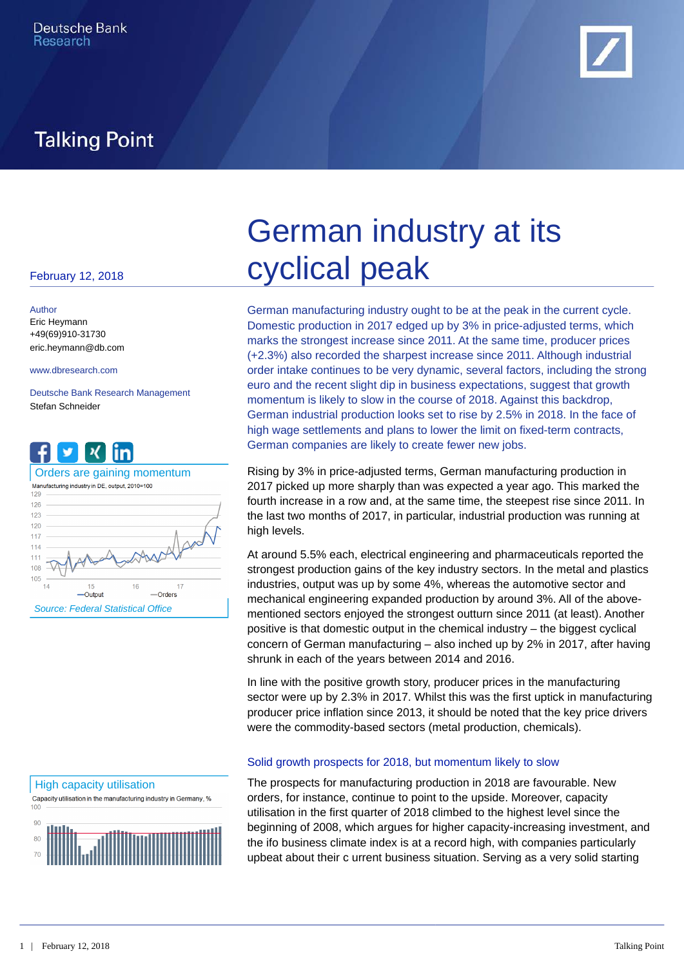

# **Talking Point**

### February 12, 2018

Author Eric Heymann +49(69)910-31730 eric.heymann@db.com

Deutsche Bank Research Management Stefan Schneider



### High capacity utilisation

Capacity utilisation in the manufacturing industry in Germany, %  $100$ 



# German industry at its cyclical peak

www.dbresearch.com order intake continues to be very dynamic, several factors, including the strong German manufacturing industry ought to be at the peak in the current cycle. Domestic production in 2017 edged up by 3% in price-adjusted terms, which marks the strongest increase since 2011. At the same time, producer prices (+2.3%) also recorded the sharpest increase since 2011. Although industrial euro and the recent slight dip in business expectations, suggest that growth momentum is likely to slow in the course of 2018. Against this backdrop, German industrial production looks set to rise by 2.5% in 2018. In the face of high wage settlements and plans to lower the limit on fixed-term contracts, German companies are likely to create fewer new jobs.

Orders are gaining momentum **Exity Burney Rising by 3% in price-adjusted terms**, German manufacturing production in 2017 picked up more sharply than was expected a year ago. This marked the fourth increase in a row and, at the same time, the steepest rise since 2011. In the last two months of 2017, in particular, industrial production was running at high levels.

> At around 5.5% each, electrical engineering and pharmaceuticals reported the strongest production gains of the key industry sectors. In the metal and plastics industries, output was up by some 4%, whereas the automotive sector and mechanical engineering expanded production by around 3%. All of the abovementioned sectors enjoyed the strongest outturn since 2011 (at least). Another positive is that domestic output in the chemical industry – the biggest cyclical concern of German manufacturing – also inched up by 2% in 2017, after having shrunk in each of the years between 2014 and 2016.

> In line with the positive growth story, producer prices in the manufacturing sector were up by 2.3% in 2017. Whilst this was the first uptick in manufacturing producer price inflation since 2013, it should be noted that the key price drivers were the commodity-based sectors (metal production, chemicals).

### Solid growth prospects for 2018, but momentum likely to slow

The prospects for manufacturing production in 2018 are favourable. New orders, for instance, continue to point to the upside. Moreover, capacity utilisation in the first quarter of 2018 climbed to the highest level since the beginning of 2008, which argues for higher capacity-increasing investment, and the ifo business climate index is at a record high, with companies particularly upbeat about their c urrent business situation. Serving as a very solid starting